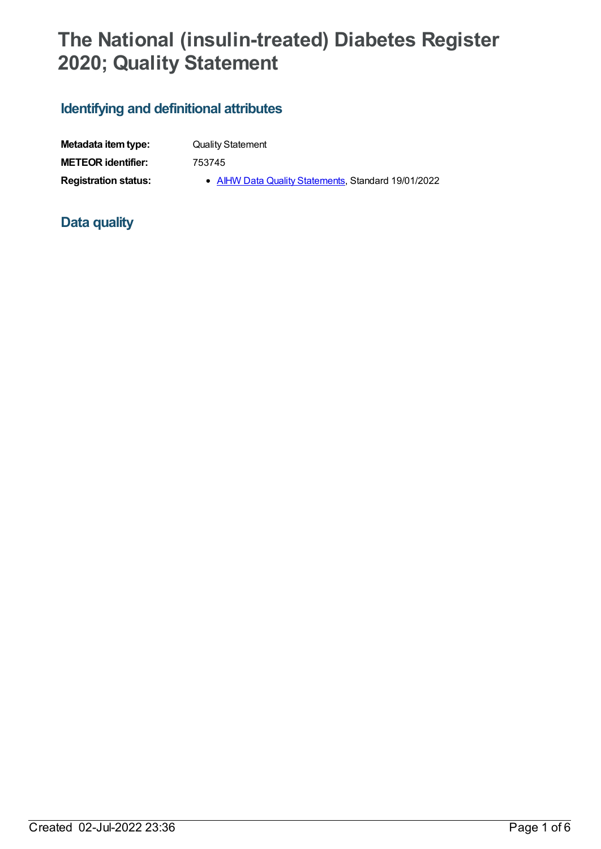## **The National (insulin-treated) Diabetes Register 2020; Quality Statement**

## **Identifying and definitional attributes**

| Metadata item type:         | <b>Quality Statement</b>                            |
|-----------------------------|-----------------------------------------------------|
| <b>METEOR identifier:</b>   | 753745                                              |
| <b>Registration status:</b> | • AIHW Data Quality Statements, Standard 19/01/2022 |

## **Data quality**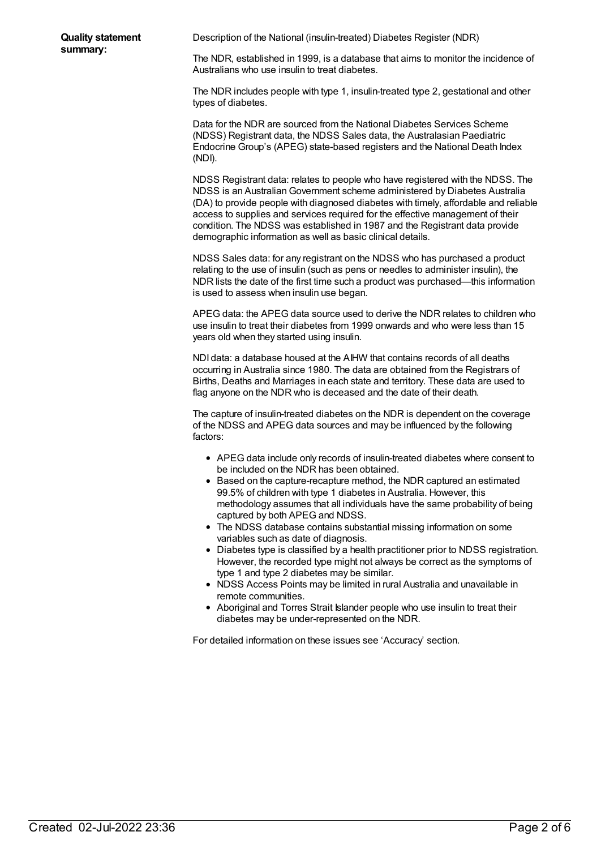Description of the National (insulin-treated) Diabetes Register (NDR)

The NDR, established in 1999, is a database that aims to monitor the incidence of Australians who use insulin to treat diabetes.

The NDR includes people with type 1, insulin-treated type 2, gestational and other types of diabetes.

Data for the NDR are sourced from the National Diabetes Services Scheme (NDSS) Registrant data, the NDSS Sales data, the Australasian Paediatric Endocrine Group's (APEG) state-based registers and the National Death Index (NDI).

NDSS Registrant data: relates to people who have registered with the NDSS. The NDSS is an AustralianGovernment scheme administered by Diabetes Australia (DA) to provide people with diagnosed diabetes with timely, affordable and reliable access to supplies and services required for the effective management of their condition. The NDSS was established in 1987 and the Registrant data provide demographic information as well as basic clinical details.

NDSS Sales data: for any registrant on the NDSS who has purchased a product relating to the use of insulin (such as pens or needles to administer insulin), the NDR lists the date of the first time such a product was purchased—this information is used to assess when insulin use began.

APEG data: the APEG data source used to derive the NDR relates to children who use insulin to treat their diabetes from 1999 onwards and who were less than 15 years old when they started using insulin.

NDI data: a database housed at the AIHW that contains records of all deaths occurring in Australia since 1980. The data are obtained from the Registrars of Births, Deaths and Marriages in each state and territory. These data are used to flag anyone on the NDR who is deceased and the date of their death.

The capture of insulin-treated diabetes on the NDR is dependent on the coverage of the NDSS and APEG data sources and may be influenced by the following factors:

- APEG data include only records of insulin-treated diabetes where consent to be included on the NDR has been obtained.
- Based on the capture-recapture method, the NDR captured an estimated 99.5% of children with type 1 diabetes in Australia. However, this methodology assumes that all individuals have the same probability of being captured by both APEG and NDSS.
- The NDSS database contains substantial missing information on some variables such as date of diagnosis.
- Diabetes type is classified by a health practitioner prior to NDSS registration. However, the recorded type might not always be correct as the symptoms of type 1 and type 2 diabetes may be similar.
- NDSS Access Points may be limited in rural Australia and unavailable in remote communities.
- Aboriginal and Torres Strait Islander people who use insulin to treat their diabetes may be under-represented on the NDR.

For detailed information on these issues see 'Accuracy' section.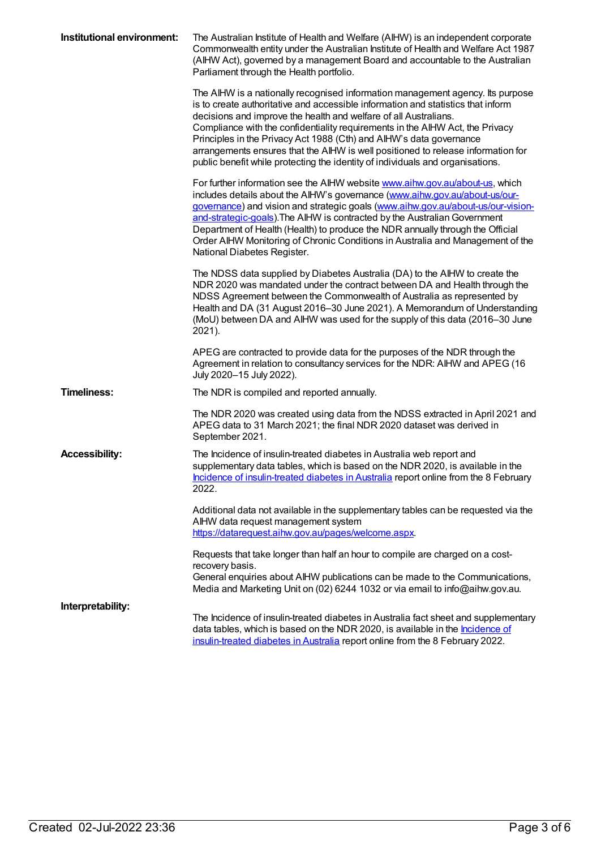| Institutional environment: | The Australian Institute of Health and Welfare (AIHW) is an independent corporate<br>Commonwealth entity under the Australian Institute of Health and Welfare Act 1987<br>(AIHW Act), governed by a management Board and accountable to the Australian<br>Parliament through the Health portfolio.                                                                                                                                                                                                                                                                   |
|----------------------------|----------------------------------------------------------------------------------------------------------------------------------------------------------------------------------------------------------------------------------------------------------------------------------------------------------------------------------------------------------------------------------------------------------------------------------------------------------------------------------------------------------------------------------------------------------------------|
|                            | The AIHW is a nationally recognised information management agency. Its purpose<br>is to create authoritative and accessible information and statistics that inform<br>decisions and improve the health and welfare of all Australians.<br>Compliance with the confidentiality requirements in the AIHW Act, the Privacy<br>Principles in the Privacy Act 1988 (Cth) and AlHW's data governance<br>arrangements ensures that the AIHW is well positioned to release information for<br>public benefit while protecting the identity of individuals and organisations. |
|                            | For further information see the AIHW website <b>www.aihw.gov.au/about-us</b> , which<br>includes details about the AIHW's governance (www.aihw.gov.au/about-us/our-<br>governance) and vision and strategic goals (www.aihw.gov.au/about-us/our-vision-<br>and-strategic-goals). The AIHW is contracted by the Australian Government<br>Department of Health (Health) to produce the NDR annually through the Official<br>Order AIHW Monitoring of Chronic Conditions in Australia and Management of the<br>National Diabetes Register.                              |
|                            | The NDSS data supplied by Diabetes Australia (DA) to the AIHW to create the<br>NDR 2020 was mandated under the contract between DA and Health through the<br>NDSS Agreement between the Commonwealth of Australia as represented by<br>Health and DA (31 August 2016-30 June 2021). A Memorandum of Understanding<br>(MoU) between DA and AIHW was used for the supply of this data (2016-30 June<br>2021).                                                                                                                                                          |
|                            | APEG are contracted to provide data for the purposes of the NDR through the<br>Agreement in relation to consultancy services for the NDR: AIHW and APEG (16<br>July 2020-15 July 2022).                                                                                                                                                                                                                                                                                                                                                                              |
| <b>Timeliness:</b>         | The NDR is compiled and reported annually.                                                                                                                                                                                                                                                                                                                                                                                                                                                                                                                           |
|                            | The NDR 2020 was created using data from the NDSS extracted in April 2021 and<br>APEG data to 31 March 2021; the final NDR 2020 dataset was derived in<br>September 2021.                                                                                                                                                                                                                                                                                                                                                                                            |
| <b>Accessibility:</b>      | The Incidence of insulin-treated diabetes in Australia web report and<br>supplementary data tables, which is based on the NDR 2020, is available in the<br>Incidence of insulin-treated diabetes in Australia report online from the 8 February<br>2022.                                                                                                                                                                                                                                                                                                             |
|                            | Additional data not available in the supplementary tables can be requested via the<br>AIHW data request management system<br>https://datarequest.aihw.gov.au/pages/welcome.aspx.                                                                                                                                                                                                                                                                                                                                                                                     |
|                            | Requests that take longer than half an hour to compile are charged on a cost-<br>recovery basis.<br>General enquiries about AIHW publications can be made to the Communications,<br>Media and Marketing Unit on (02) 6244 1032 or via email to info@aihw.gov.au.                                                                                                                                                                                                                                                                                                     |
| Interpretability:          | The Incidence of insulin-treated diabetes in Australia fact sheet and supplementary<br>data tables, which is based on the NDR 2020, is available in the <i>Incidence of</i><br>insulin-treated diabetes in Australia report online from the 8 February 2022.                                                                                                                                                                                                                                                                                                         |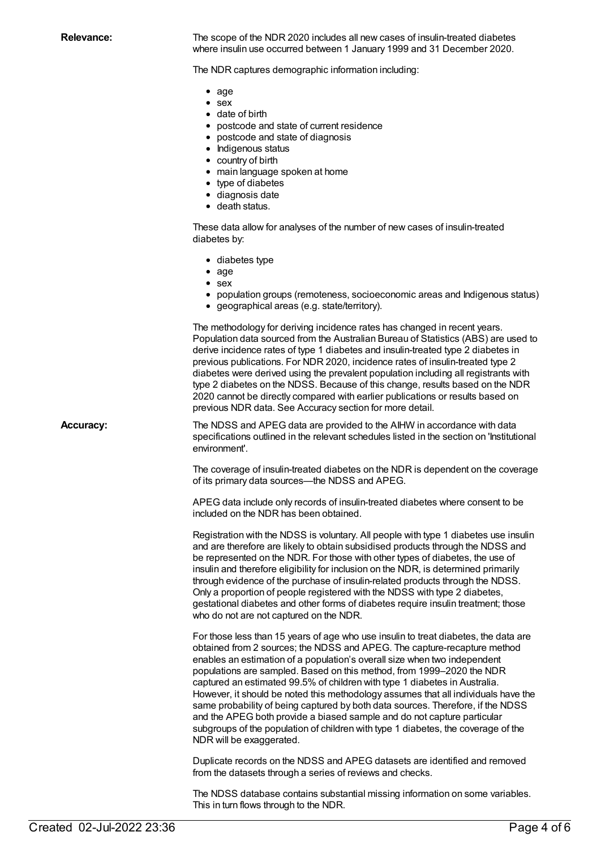**Relevance:** The scope of the NDR 2020 includes all new cases of insulin-treated diabetes where insulin use occurred between 1 January 1999 and 31 December 2020.

The NDR captures demographic information including:

- $\bullet$  age
- sex
- date of birth
- postcode and state of current residence
- postcode and state of diagnosis
- Indigenous status
- country of birth
- main language spoken at home
- type of diabetes
- diagnosis date
- death status.

These data allow for analyses of the number of new cases of insulin-treated diabetes by:

- diabetes type
- $\bullet$  age
- sex
- population groups (remoteness, socioeconomic areas and Indigenous status)
- geographical areas (e.g. state/territory).

The methodology for deriving incidence rates has changed in recent years. Population data sourced from the Australian Bureau of Statistics (ABS) are used to derive incidence rates of type 1 diabetes and insulin-treated type 2 diabetes in previous publications. For NDR 2020, incidence rates of insulin-treated type 2 diabetes were derived using the prevalent population including all registrants with type 2 diabetes on the NDSS. Because of this change, results based on the NDR 2020 cannot be directly compared with earlier publications or results based on previous NDR data. See Accuracy section for more detail.

**Accuracy:** The NDSS and APEG data are provided to the AIHW in accordance with data specifications outlined in the relevant schedules listed in the section on 'Institutional environment'.

> The coverage of insulin-treated diabetes on the NDR is dependent on the coverage of its primary data sources—the NDSS and APEG.

APEG data include only records of insulin-treated diabetes where consent to be included on the NDR has been obtained.

Registration with the NDSS is voluntary. All people with type 1 diabetes use insulin and are therefore are likely to obtain subsidised products through the NDSS and be represented on the NDR. For those with other types of diabetes, the use of insulin and therefore eligibility for inclusion on the NDR, is determined primarily through evidence of the purchase of insulin-related products through the NDSS. Only a proportion of people registered with the NDSS with type 2 diabetes, gestational diabetes and other forms of diabetes require insulin treatment; those who do not are not captured on the NDR.

For those less than 15 years of age who use insulin to treat diabetes, the data are obtained from 2 sources; the NDSS and APEG. The capture-recapture method enables an estimation of a population's overall size when two independent populations are sampled. Based on this method, from 1999–2020 the NDR captured an estimated 99.5% of children with type 1 diabetes in Australia. However, it should be noted this methodology assumes that all individuals have the same probability of being captured by both data sources. Therefore, if the NDSS and the APEG both provide a biased sample and do not capture particular subgroups of the population of children with type 1 diabetes, the coverage of the NDR will be exaggerated.

Duplicate records on the NDSS and APEG datasets are identified and removed from the datasets through a series of reviews and checks.

The NDSS database contains substantial missing information on some variables. This in turn flows through to the NDR.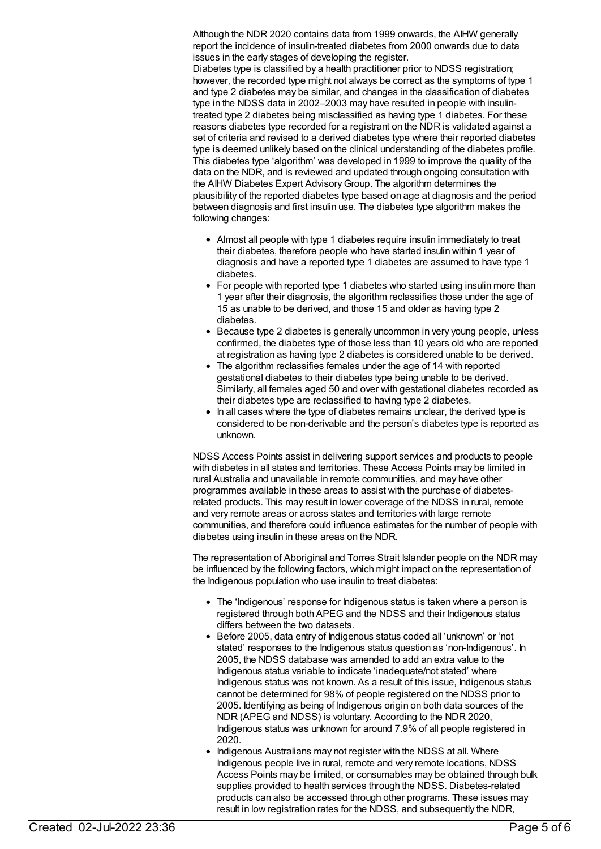Although the NDR 2020 contains data from 1999 onwards, the AIHW generally report the incidence of insulin-treated diabetes from 2000 onwards due to data issues in the early stages of developing the register.

Diabetes type is classified by a health practitioner prior to NDSS registration; however, the recorded type might not always be correct as the symptoms of type 1 and type 2 diabetes may be similar, and changes in the classification of diabetes type in the NDSS data in 2002–2003 may have resulted in people with insulintreated type 2 diabetes being misclassified as having type 1 diabetes. For these reasons diabetes type recorded for a registrant on the NDR is validated against a set of criteria and revised to a derived diabetes type where their reported diabetes type is deemed unlikely based on the clinical understanding of the diabetes profile. This diabetes type 'algorithm' was developed in 1999 to improve the quality of the data on the NDR, and is reviewed and updated through ongoing consultation with the AIHW Diabetes Expert AdvisoryGroup. The algorithm determines the plausibility of the reported diabetes type based on age at diagnosis and the period between diagnosis and first insulin use. The diabetes type algorithm makes the following changes:

- Almost all people with type 1 diabetes require insulin immediately to treat their diabetes, therefore people who have started insulin within 1 year of diagnosis and have a reported type 1 diabetes are assumed to have type 1 diabetes.
- For people with reported type 1 diabetes who started using insulin more than 1 year after their diagnosis, the algorithm reclassifies those under the age of 15 as unable to be derived, and those 15 and older as having type 2 diabetes.
- Because type 2 diabetes is generally uncommon in very young people, unless confirmed, the diabetes type of those less than 10 years old who are reported at registration as having type 2 diabetes is considered unable to be derived.
- The algorithm reclassifies females under the age of 14 with reported gestational diabetes to their diabetes type being unable to be derived. Similarly, all females aged 50 and over with gestational diabetes recorded as their diabetes type are reclassified to having type 2 diabetes.
- In all cases where the type of diabetes remains unclear, the derived type is considered to be non-derivable and the person's diabetes type is reported as unknown.

NDSS Access Points assist in delivering support services and products to people with diabetes in all states and territories. These Access Points may be limited in rural Australia and unavailable in remote communities, and may have other programmes available in these areas to assist with the purchase of diabetesrelated products. This may result in lower coverage of the NDSS in rural, remote and very remote areas or across states and territories with large remote communities, and therefore could influence estimates for the number of people with diabetes using insulin in these areas on the NDR.

The representation of Aboriginal and Torres Strait Islander people on the NDR may be influenced by the following factors, which might impact on the representation of the Indigenous population who use insulin to treat diabetes:

- The 'Indigenous' response for Indigenous status is taken where a person is registered through both APEG and the NDSS and their Indigenous status differs between the two datasets.
- Before 2005, data entry of Indigenous status coded all 'unknown' or 'not stated' responses to the Indigenous status question as 'non-Indigenous'. In 2005, the NDSS database was amended to add an extra value to the Indigenous status variable to indicate 'inadequate/not stated' where Indigenous status was not known. As a result of this issue, Indigenous status cannot be determined for 98% of people registered on the NDSS prior to 2005. Identifying as being of Indigenous origin on both data sources of the NDR (APEG and NDSS) is voluntary. According to the NDR 2020, Indigenous status was unknown for around 7.9% of all people registered in 2020.
- Indigenous Australians may not register with the NDSS at all. Where Indigenous people live in rural, remote and very remote locations, NDSS Access Points may be limited, or consumables may be obtained through bulk supplies provided to health services through the NDSS. Diabetes-related products can also be accessed through other programs. These issues may result in low registration rates for the NDSS, and subsequently the NDR,